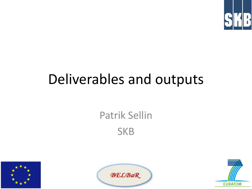

#### Deliverables and outputs





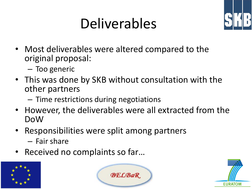## Deliverables



- Most deliverables were altered compared to the original proposal:
	- Too generic
- This was done by SKB without consultation with the other partners
	- Time restrictions during negotiations
- However, the deliverables were all extracted from the DoW
- Responsibilities were split among partners
	- Fair share
- Received no complaints so far...





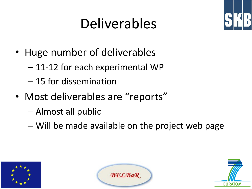# Deliverables



- Huge number of deliverables
	- 11-12 for each experimental WP
	- 15 for dissemination
- Most deliverables are "reports"
	- Almost all public
	- Will be made available on the project web page





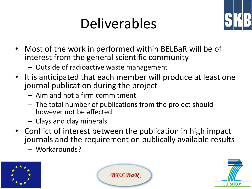## Deliverables



- Most of the work in performed within BELBaR will be of interest from the general scientific community
	- Outside of radioactive waste management
- It is anticipated that each member will produce at least one journal publication during the project
	- Aim and not a firm commitment
	- The total number of publications from the project should however not be affected
	- Clays and clay minerals
- Conflict of interest between the publication in high impact journals and the requirement on publically available results
	- Workarounds?





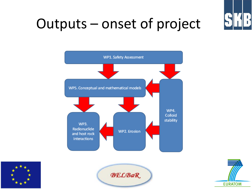

#### Outputs – onset of project







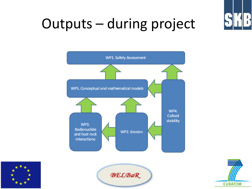

#### Outputs – during project







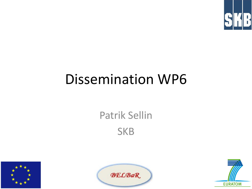

#### Dissemination WP6





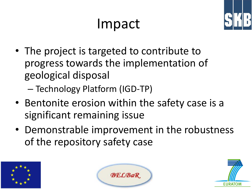#### Impact



- The project is targeted to contribute to progress towards the implementation of geological disposal
	- Technology Platform (IGD-TP)
- Bentonite erosion within the safety case is a significant remaining issue
- Demonstrable improvement in the robustness of the repository safety case





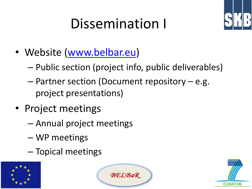# Dissemination I



- Website [\(www.belbar.eu](http://www.belbar.eu/))
	- Public section (project info, public deliverables)
	- Partner section (Document repository e.g. project presentations)
- Project meetings
	- Annual project meetings
	- WP meetings
	- Topical meetings





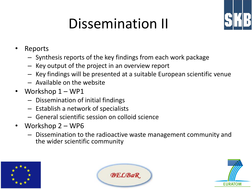# Dissemination II



- Reports
	- Synthesis reports of the key findings from each work package
	- Key output of the project in an overview report
	- Key findings will be presented at a suitable European scientific venue
	- Available on the website
- Workshop  $1 WP1$ 
	- Dissemination of initial findings
	- Establish a network of specialists
	- General scientific session on colloid science
- Workshop 2 WP6
	- Dissemination to the radioactive waste management community and the wider scientific community





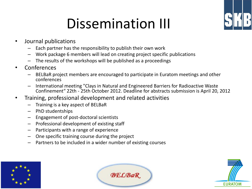#### Dissemination III



- Journal publications
	- Each partner has the responsibility to publish their own work
	- Work package 6 members will lead on creating project specific publications
	- The results of the workshops will be published as a proceedings
- **Conferences** 
	- BELBaR project members are encouraged to participate in Euratom meetings and other conferences
	- International meeting "Clays in Natural and Engineered Barriers for Radioactive Waste Confinement" 22th - 25th October 2012. Deadline for abstracts submission is April 20, 2012
- Training, professional development and related activities
	- Training is a key aspect of BELBaR
	- PhD studentships
	- Engagement of post-doctoral scientists
	- Professional development of existing staff
	- Participants with a range of experience
	- One specific training course during the project
	- Partners to be included in a wider number of existing courses





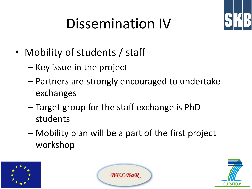# Dissemination IV



- Mobility of students / staff
	- Key issue in the project
	- Partners are strongly encouraged to undertake exchanges
	- Target group for the staff exchange is PhD students
	- Mobility plan will be a part of the first project workshop





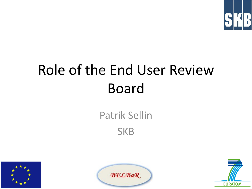

# Role of the End User Review Board





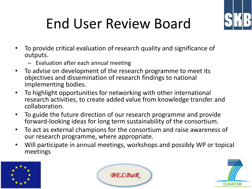

# End User Review Board

- To provide critical evaluation of research quality and significance of outputs.
	- Evaluation after each annual meeting
- To advise on development of the research programme to meet its objectives and dissemination of research findings to national implementing bodies.
- To highlight opportunities for networking with other international research activities, to create added value from knowledge transfer and collaboration.
- To guide the future direction of our research programme and provide forward-looking ideas for long term sustainability of the consortium.
- To act as external champions for the consortium and raise awareness of our research programme, where appropriate.
- Will participate in annual meetings, workshops and possibly WP or topical meetings





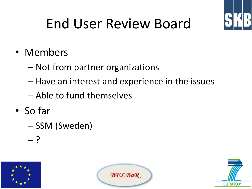

# End User Review Board

- Members
	- Not from partner organizations
	- Have an interest and experience in the issues
	- Able to fund themselves
- So far
	- SSM (Sweden)
	- ?





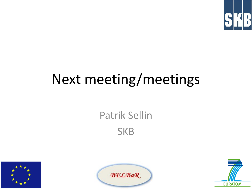

### Next meeting/meetings